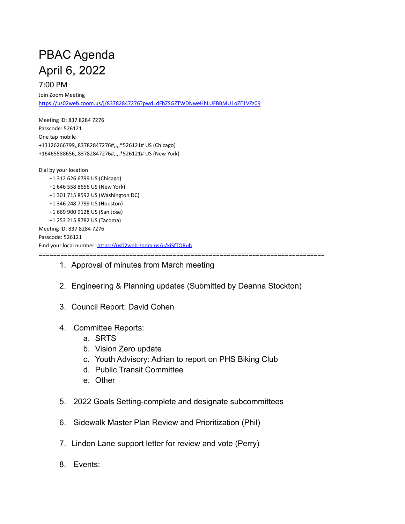## PBAC Agenda April 6, 2022

## 7:00 PM

Join Zoom Meeting <https://us02web.zoom.us/j/83782847276?pwd=dFhZSGZTWDNweHhLUFBBMU1oZE1VZz09>

Meeting ID: 837 8284 7276 Passcode: 526121 One tap mobile +13126266799,,83782847276#,,,,\*526121# US (Chicago) +16465588656,,83782847276#,,,,\*526121# US (New York)

Dial by your location +1 312 626 6799 US (Chicago) +1 646 558 8656 US (New York) +1 301 715 8592 US (Washington DC) +1 346 248 7799 US (Houston) +1 669 900 9128 US (San Jose) +1 253 215 8782 US (Tacoma) Meeting ID: 837 8284 7276 Passcode: 526121 Find your local number: <https://us02web.zoom.us/u/kjSfTORuh> ===============================================================================

- 1. Approval of minutes from March meeting
- 2. Engineering & Planning updates (Submitted by Deanna Stockton)
- 3. Council Report: David Cohen
- 4. Committee Reports:
	- a. SRTS
	- b. Vision Zero update
	- c. Youth Advisory: Adrian to report on PHS Biking Club
	- d. Public Transit Committee
	- e. Other
- 5. 2022 Goals Setting-complete and designate subcommittees
- 6. Sidewalk Master Plan Review and Prioritization (Phil)
- 7. Linden Lane support letter for review and vote (Perry)
- 8. Events: